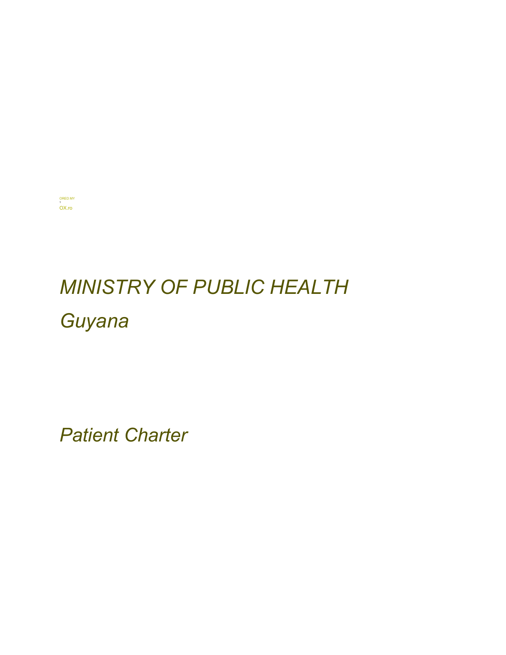

# *MINISTRY OF PUBLIC HEALTH Guyana*

*Patient Charter*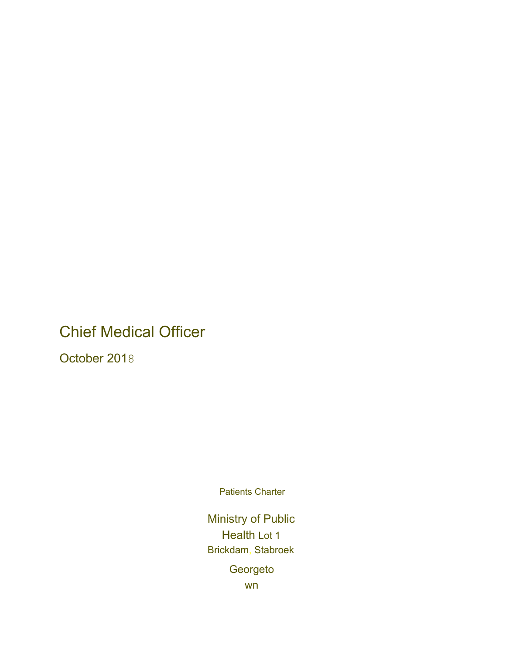## Chief Medical Officer

October 2018

Patients Charter

Ministry of Public Health Lot 1 Brickdam, Stabroek **Georgeto** wn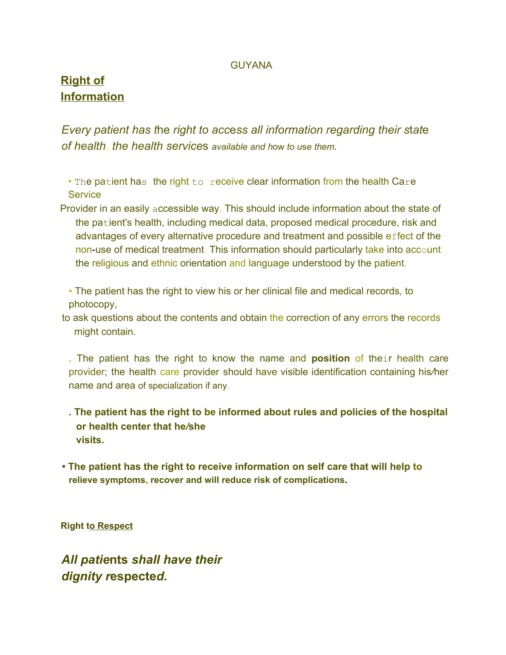#### **GUYANA**

## **Right of Information**

*Every patient has t*he *right to acc*e*ss all information regarding their s*t*at*e *of health, the health service*s *available and h*ow *to u*s*e them.*

 $\cdot$  The patient has the right to receive clear information from the health Care **Service** 

Provider in an easily accessible way. This should include information about the state of the patient's health, including medical data, proposed medical procedure, risk and advantages of every alternative procedure and treatment and possible effect of the non-use of medical treatment. This information should particularly take into account the religious and ethnic orientation and language understood by the patient.

• The patient has the right to view his or her clinical file and medical records, to photocopy,

to ask questions about the contents and obtain the correction of any errors the records might contain.

. The patient has the right to know the name and **position** of their health care provider; the health care provider should have visible identification containing his*/*her name and area of specialization if any.

- **. The patient has the right to be informed about rules and policies of the hospital or health center that he***/***she visits.**
- **The patient has the right to receive information on self care that will help to relieve symptoms, recover and will reduce risk of complications.**

**Right to Respect**

*All patie***nts** *shall have their dignity r***especte***d.*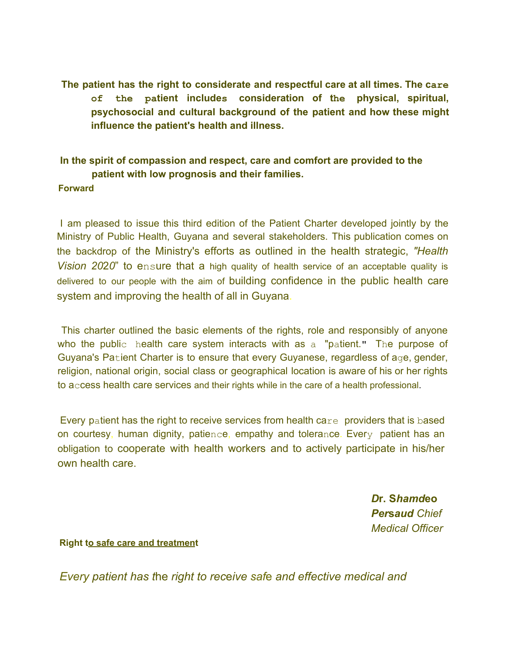#### **The patient has the right to considerate and respectful care at all times. The care of the patient includes consideration of the physical, spiritual, psychosocial and cultural background of the patient and how these might influence the patient's health and illness.**

#### **In the spirit of compassion and respect, care and comfort are provided to the patient with low prognosis and their families.**

#### **Forward**

I am pleased to issue this third edition of the Patient Charter developed jointly by the Ministry of Public Health, Guyana and several stakeholders. This publication comes on the backdrop of the Ministry's efforts as outlined in the health strategic, *"Health Vision 20*2*0*" to ensure that a high quality of health service of an acceptable quality is delivered to our people with the aim of building confidence in the public health care system and improving the health of all in Guyana.

This charter outlined the basic elements of the rights, role and responsibly of anyone who the public health care system interacts with as a "patient." The purpose of Guyana's Patient Charter is to ensure that every Guyanese, regardless of age, gender, religion, national origin, social class or geographical location is aware of his or her rights to access health care services and their rights while in the care of a health professional.

Every patient has the right to receive services from health care providers that is based on courtesy, human dignity, patience, empathy and tolerance. Every patient has an obligation to cooperate with health workers and to actively participate in his/her own health care.

> *D***r. S***hamd***eo** *Per***s***aud Chief Medical Officer*

#### **Right to safe care and treatment**

*Every patient has t*he *right to rec*e*ive saf*e *and effective medical and*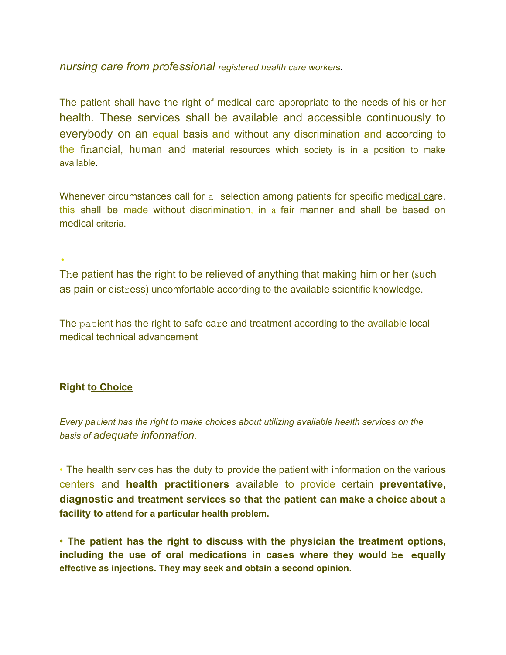#### *nursing care from prof*e*ssional r*e*gistered health care worker*s.

The patient shall have the right of medical care appropriate to the needs of his or her health. These services shall be available and accessible continuously to everybody on an equal basis and without any discrimination and according to the financial, human and material resources which society is in a position to make available.

Whenever circumstances call for a selection among patients for specific medical care, this shall be made without discrimination, in a fair manner and shall be based on medical criteria.

•

The patient has the right to be relieved of anything that making him or her (such as pain or dist $r$ ess) uncomfortable according to the available scientific knowledge.

The patient has the right to safe care and treatment according to the available local medical technical advancement

#### **Right to Choice**

*Every patient has the right to make choices about utilizing available health servic*e*s on the basis of adequate information.*

• The health services has the duty to provide the patient with information on the various centers and **health practitioners** available to provide certain **preventative, diagnostic and treatment services so that the patient can make a choice about a facility to attend for a particular health problem.**

**• The patient has the right to discuss with the physician the treatment options, including the use of oral medications in cases where they would be equally effective as injections. They may seek and obtain a second opinion.**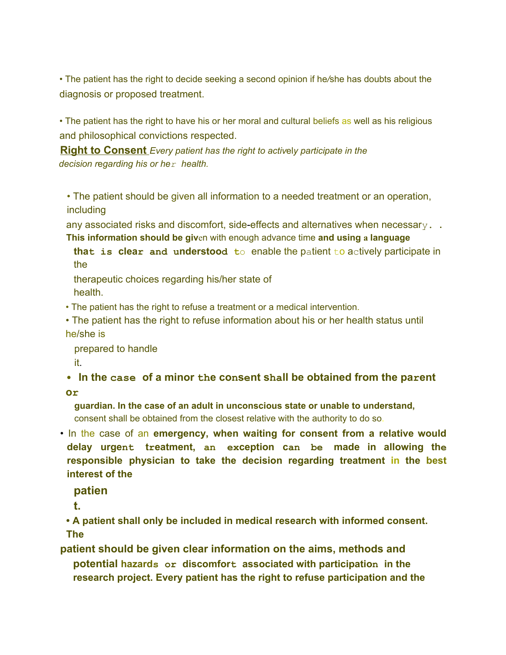• The patient has the right to decide seeking a second opinion if he*/*she has doubts about the diagnosis or proposed treatment.

• The patient has the right to have his or her moral and cultural beliefs as well as his religious and philosophical convictions respected.

**Right to Consent** *Every patient has the right to activ*el*y participate in the decision r*e*garding his or her health.*

• The patient should be given all information to a needed treatment or an operation, including

any associated risks and discomfort, side-effects and alternatives when necessary. **. This information should be giv**en with enough advance time **and using a language**

**that is clear and understood t**o enable the patient to actively participate in the

therapeutic choices regarding his/her state of health.

• The patient has the right to refuse a treatment or a medical intervention.

• The patient has the right to refuse information about his or her health status until he/she is

prepared to handle it.

• In the case of a minor the consent shall be obtained from the parent **or**

**guardian. In the case of an adult in unconscious state or unable to understand,** consent shall be obtained from the closest relative with the authority to do so.

• In the case of an **emergency, when waiting for consent from a relative would delay urgent treatment, an exception can be made in allowing the responsible physician to take the decision regarding treatment in the best interest of the**

**patien**

**t.**

**• A patient shall only be included in medical research with informed consent. The**

**patient should be given clear information on the aims, methods and potential hazards or discomfort associated with participation in the research project. Every patient has the right to refuse participation and the**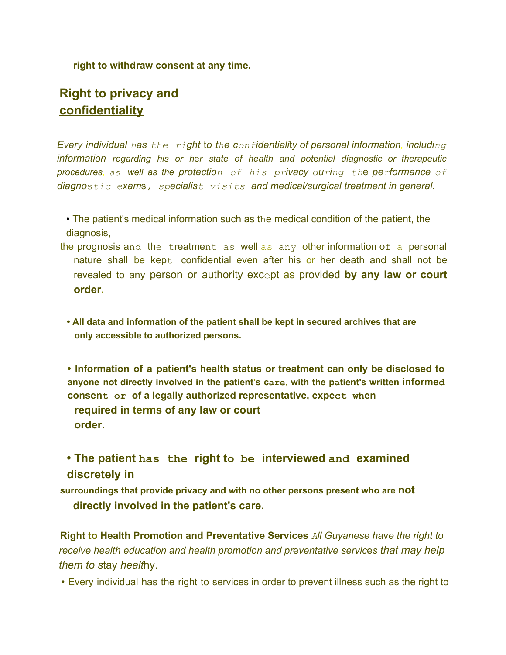**right to withdraw consent at any time.**

## **Right to privacy and confidentiality**

Every individual has the right to the confidentiality of personal information, including *information regarding his or h*e*r state of health and pot*e*ntial diagnostic or therapeutic* procedures, as well as the protection of his privacy during the performance of *diagno*s*tic exam*s*, specialist visits and medical/surgical treatment in general.*

• The patient's medical information such as the medical condition of the patient, the diagnosis,

- the prognosis and the treatment as well as any other information of a personal nature shall be kept confidential even after his or her death and shall not be revealed to any person or authority except as provided **by any law or court order.**
	- **• All data and information of the patient shall be kept in secured archives that are only accessible to authorized persons.**

**• Information of a patient's health status or treatment can only be disclosed to anyone not directly involved in the patient's care, with the patient's written informed consent or of a legally authorized representative, expect when required in terms of any law or court order.**

### **• The patient has the right to be interviewed and examined discretely in**

**surroundings that provide privacy and** *w***ith no other persons present who are not directly involved in the patient's care.**

**Right to Health Promotion and Preventative Services** *All Guyanese ha*v*e the right to receive health education and health promotion and pr*e*ventative servic*e*s that may help them to s*tay *healt*hy.

• Every individual has the right to services in order to prevent illness such as the right to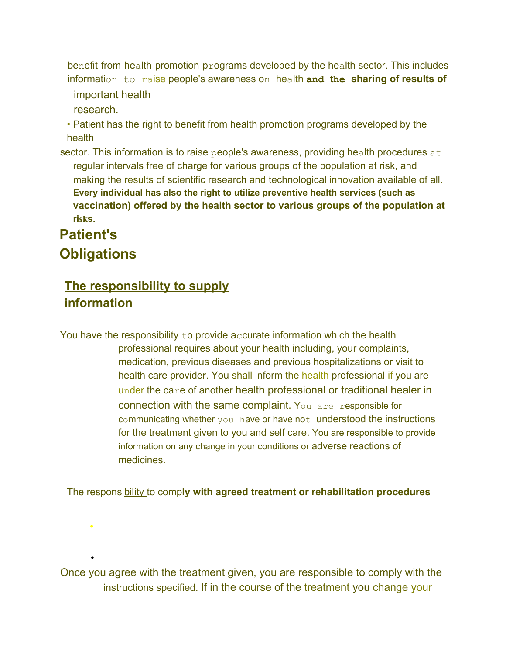benefit from health promotion programs developed by the health sector. This includes information to raise people's awareness on health **and the sharing of results of** important health

research.

• Patient has the right to benefit from health promotion programs developed by the health

sector. This information is to raise people's awareness, providing health procedures at regular intervals free of charge for various groups of the population at risk, and making the results of scientific research and technological innovation available of all. **Every individual has also the right to utilize preventive health services (such as vaccination) offered by the health sector to various groups of the population at risks.**

## **Patient's Obligations**

•

•

## **The responsibility to supply information**

You have the responsibility to provide accurate information which the health professional requires about your health including, your complaints, medication, previous diseases and previous hospitalizations or visit to health care provider. You shall inform the health professional if you are under the care of another health professional or traditional healer in connection with the same complaint. You are responsible for communicating whether you have or have not understood the instructions for the treatment given to you and self care. You are responsible to provide information on any change in your conditions or adverse reactions of medicines.

The responsibility to comp**ly with agreed treatment or rehabilitation procedures**

Once you agree with the treatment given, you are responsible to comply with the instructions specified. If in the course of the treatment you change your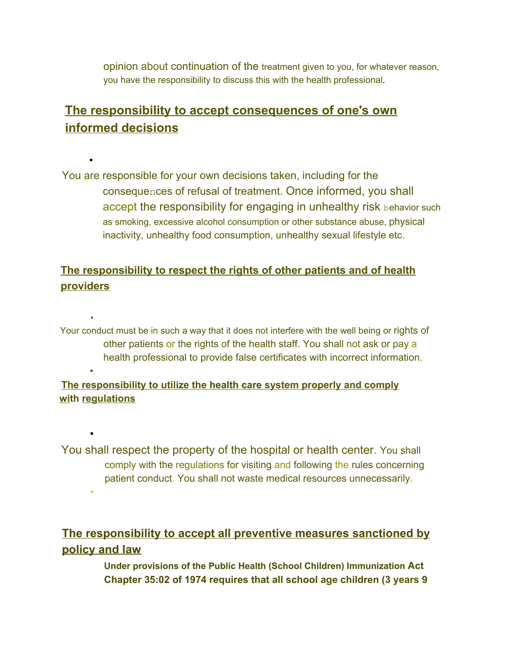opinion about continuation of the treatment given to you, for whatever reason, you have the responsibility to discuss this with the health professional.

## **The responsibility to accept consequences of one's own informed decisions**

•

•

•

•

You are responsible for your own decisions taken, including for the consequences of refusal of treatment. Once informed, you shall accept the responsibility for engaging in unhealthy risk behavior such as smoking, excessive alcohol consumption or other substance abuse, physical inactivity, unhealthy food consumption, unhealthy sexual lifestyle etc.

#### **The responsibility to respect the rights of other patients and of health providers**

Your conduct must be in such a way that it does not interfere with the well being or rights of other patients or the rights of the health staff. You shall not ask or pay a health professional to provide false certificates with incorrect information.

**The responsibility to utilize the health care system properly and comply with regulations**

You shall respect the property of the hospital or health center. You shall comply with the regulations for visiting and following the rules concerning patient conduct. You shall not waste medical resources unnecessarily. •

## **The responsibility to accept all preventive measures sanctioned by policy and law**

**Under provisions of the Public Health (School Children) Immunization Act Chapter 35:02 of 1974 requires that all school age children (3 years 9**